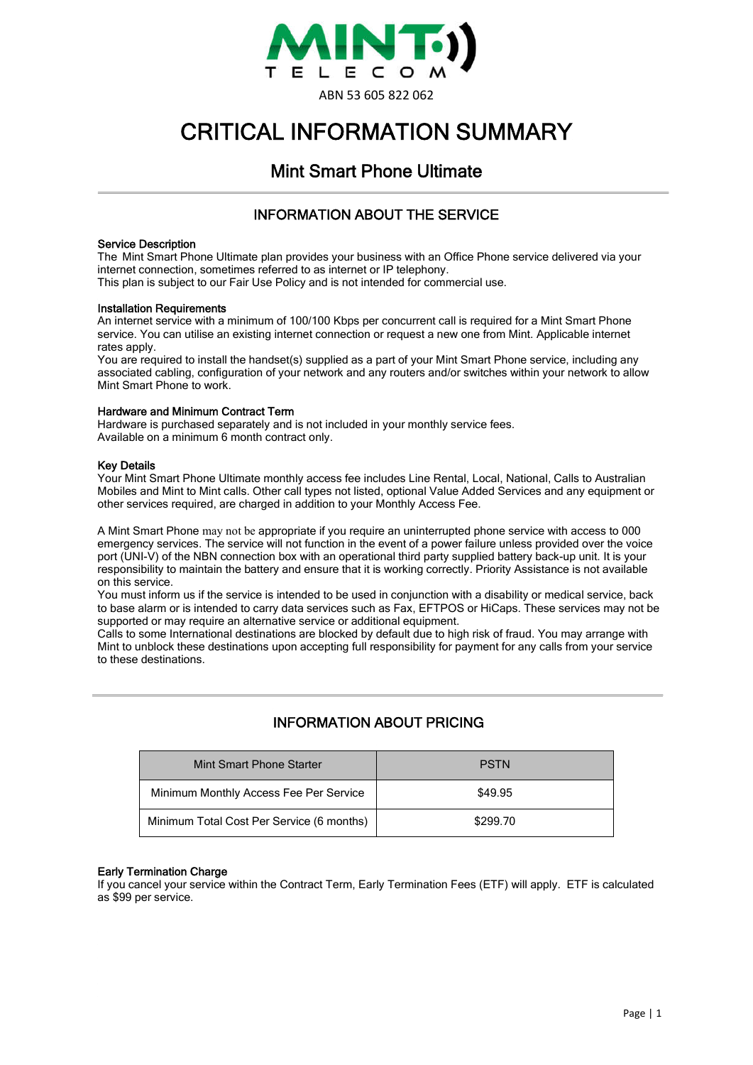

# CRITICAL INFORMATION SUMMARY

# Mint Smart Phone Ultimate

## INFORMATION ABOUT THE SERVICE

#### Service Description

The Mint Smart Phone Ultimate plan provides your business with an Office Phone service delivered via your internet connection, sometimes referred to as internet or IP telephony.

This plan is subject to our Fair Use Policy and is not intended for commercial use.

#### Installation Requirements

An internet service with a minimum of 100/100 Kbps per concurrent call is required for a Mint Smart Phone service. You can utilise an existing internet connection or request a new one from Mint. Applicable internet rates apply.

You are required to install the handset(s) supplied as a part of your Mint Smart Phone service, including any associated cabling, configuration of your network and any routers and/or switches within your network to allow Mint Smart Phone to work.

#### Hardware and Minimum Contract Term

Hardware is purchased separately and is not included in your monthly service fees. Available on a minimum 6 month contract only.

#### Key Details

Your Mint Smart Phone Ultimate monthly access fee includes Line Rental, Local, National, Calls to Australian Mobiles and Mint to Mint calls. Other call types not listed, optional Value Added Services and any equipment or other services required, are charged in addition to your Monthly Access Fee.

A Mint Smart Phone may not be appropriate if you require an uninterrupted phone service with access to 000 emergency services. The service will not function in the event of a power failure unless provided over the voice port (UNI-V) of the NBN connection box with an operational third party supplied battery back-up unit. It is your responsibility to maintain the battery and ensure that it is working correctly. Priority Assistance is not available on this service.

You must inform us if the service is intended to be used in conjunction with a disability or medical service, back to base alarm or is intended to carry data services such as Fax, EFTPOS or HiCaps. These services may not be supported or may require an alternative service or additional equipment.

Calls to some International destinations are blocked by default due to high risk of fraud. You may arrange with Mint to unblock these destinations upon accepting full responsibility for payment for any calls from your service to these destinations.

# INFORMATION ABOUT PRICING

| Mint Smart Phone Starter                  | <b>PSTN</b> |
|-------------------------------------------|-------------|
| Minimum Monthly Access Fee Per Service    | \$49.95     |
| Minimum Total Cost Per Service (6 months) | \$299.70    |

#### Early Termination Charge

If you cancel your service within the Contract Term, Early Termination Fees (ETF) will apply. ETF is calculated as \$99 per service.